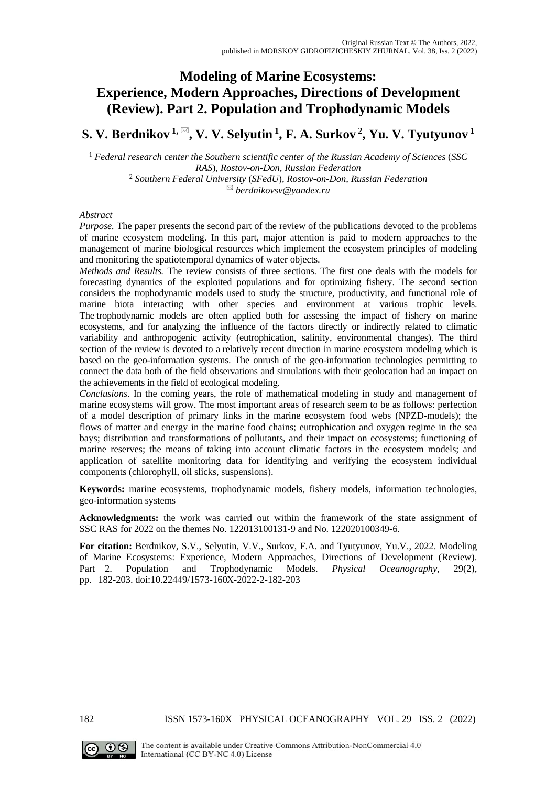# **Modeling of Marine Ecosystems: Experience, Modern Approaches, Directions of Development (Review). Part 2. Population and Trophodynamic Models**

## **S. V. Berdnikov** <sup> $1, \boxtimes$ </sup>, **V. V. Selyutin** <sup>1</sup>, **F. A. Surkov** <sup>2</sup>, **Yu. V. Tyutyunov** <sup>1</sup>

<sup>1</sup> *Federal research center the Southern scientific center of the Russian Academy of Sciences* (*SSC RAS*), *Rostov-on-Don, Russian Federation* <sup>2</sup> *Southern Federal University* (*SFedU*)*, Rostov-on-Don, Russian Federation berdnikovsv@yandex.ru* 

#### *Abstract*

*Purpose.* The paper presents the second part of the review of the publications devoted to the problems of marine ecosystem modeling. In this part, major attention is paid to modern approaches to the management of marine biological resources which implement the ecosystem principles of modeling and monitoring the spatiotemporal dynamics of water objects.

*Methods and Results.* The review consists of three sections. The first one deals with the models for forecasting dynamics of the exploited populations and for optimizing fishery. The second section considers the trophodynamic models used to study the structure, productivity, and functional role of marine biota interacting with other species and environment at various trophic levels. The trophodynamic models are often applied both for assessing the impact of fishery on marine ecosystems, and for analyzing the influence of the factors directly or indirectly related to climatic variability and anthropogenic activity (eutrophication, salinity, environmental changes). The third section of the review is devoted to a relatively recent direction in marine ecosystem modeling which is based on the geo-information systems. The onrush of the geo-information technologies permitting to connect the data both of the field observations and simulations with their geolocation had an impact on the achievements in the field of ecological modeling.

*Conclusions*. In the coming years, the role of mathematical modeling in study and management of marine ecosystems will grow. The most important areas of research seem to be as follows: perfection of a model description of primary links in the marine ecosystem food webs (NPZD-models); the flows of matter and energy in the marine food chains; eutrophication and oxygen regime in the sea bays; distribution and transformations of pollutants, and their impact on ecosystems; functioning of marine reserves; the means of taking into account climatic factors in the ecosystem models; and application of satellite monitoring data for identifying and verifying the ecosystem individual components (chlorophyll, oil slicks, suspensions).

**Keywords:** marine ecosystems, trophodynamic models, fishery models, information technologies, geo-information systems

**Acknowledgments:** the work was carried out within the framework of the state assignment of SSC RAS for 2022 on the themes No. 122013100131-9 and No. 122020100349-6.

**For citation:** Berdnikov, S.V., Selyutin, V.V., Surkov, F.A. and Tyutyunov, Yu.V., 2022. Modeling of Marine Ecosystems: Experience, Modern Approaches, Directions of Development (Review). Part 2. Population and Trophodynamic Models. *Physical Oceanography*, 29(2), pp. 182-203. doi:10.22449/1573-160X-2022-2-182-203

182 ISSN 1573-160X PHYSICAL OCEANOGRAPHY VOL. 29 ISS. 2 (2022)

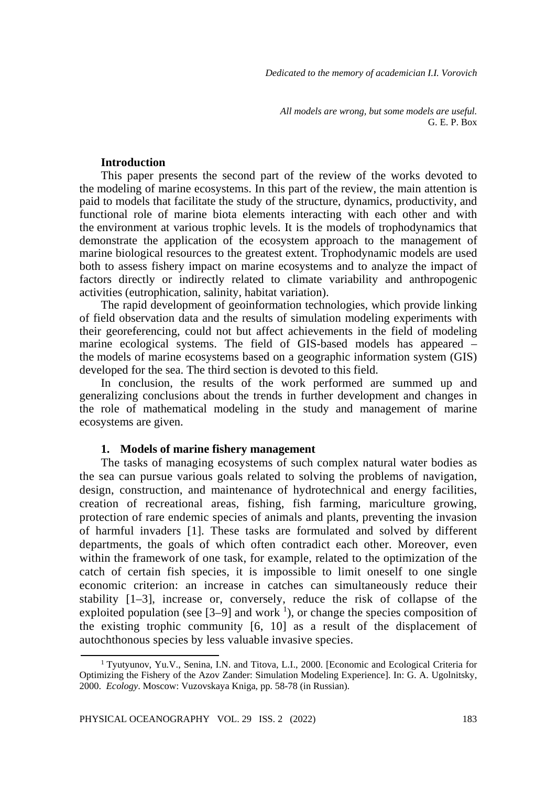*Dedicated to the memory of academician I.I. Vorovich*

*All models are wrong, but some models are useful.* G. E. P. Box

#### **Introduction**

This paper presents the second part of the review of the works devoted to the modeling of marine ecosystems. In this part of the review, the main attention is paid to models that facilitate the study of the structure, dynamics, productivity, and functional role of marine biota elements interacting with each other and with the environment at various trophic levels. It is the models of trophodynamics that demonstrate the application of the ecosystem approach to the management of marine biological resources to the greatest extent. Trophodynamic models are used both to assess fishery impact on marine ecosystems and to analyze the impact of factors directly or indirectly related to climate variability and anthropogenic activities (eutrophication, salinity, habitat variation).

The rapid development of geoinformation technologies, which provide linking of field observation data and the results of simulation modeling experiments with their georeferencing, could not but affect achievements in the field of modeling marine ecological systems. The field of GIS-based models has appeared – the models of marine ecosystems based on a geographic information system (GIS) developed for the sea. The third section is devoted to this field.

In conclusion, the results of the work performed are summed up and generalizing conclusions about the trends in further development and changes in the role of mathematical modeling in the study and management of marine ecosystems are given.

### **1. Models of marine fishery management**

The tasks of managing ecosystems of such complex natural water bodies as the sea can pursue various goals related to solving the problems of navigation, design, construction, and maintenance of hydrotechnical and energy facilities, creation of recreational areas, fishing, fish farming, mariculture growing, protection of rare endemic species of animals and plants, preventing the invasion of harmful invaders [1]. These tasks are formulated and solved by different departments, the goals of which often contradict each other. Moreover, even within the framework of one task, for example, related to the optimization of the catch of certain fish species, it is impossible to limit oneself to one single economic criterion: an increase in catches can simultaneously reduce their stability [1–3], increase or, conversely, reduce the risk of collapse of the exploited population (see  $[3-9]$  and work <sup>1</sup>), or change the species composition of the existing trophic community [6, 10] as a result of the displacement of autochthonous species by less valuable invasive species.

<sup>1</sup> Tyutyunov, Yu.V., Senina, I.N. and Titova, L.I., 2000. [Economic and Ecological Criteria for Optimizing the Fishery of the Azov Zander: Simulation Modeling Experience]. In: G. A. Ugolnitsky, 2000. *Ecology*. Moscow: Vuzovskaya Kniga, pp. 58-78 (in Russian).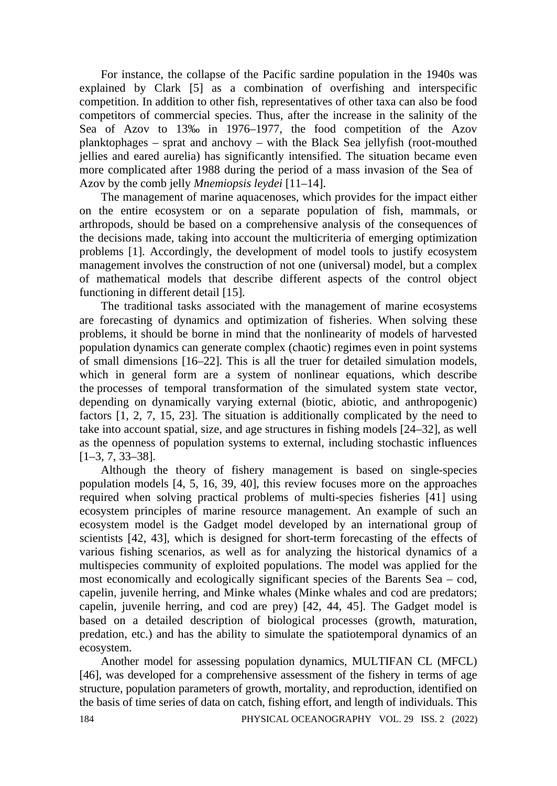For instance, the collapse of the Pacific sardine population in the 1940s was explained by Clark [5] as a combination of overfishing and interspecific competition. In addition to other fish, representatives of other taxa can also be food competitors of commercial species. Thus, after the increase in the salinity of the Sea of Azov to 13‰ in 1976–1977, the food competition of the Azov planktophages – sprat and anchovy – with the Black Sea jellyfish (root-mouthed jellies and eared aurelia) has significantly intensified. The situation became even more complicated after 1988 during the period of a mass invasion of the Sea of Azov by the comb jelly *Mnemiopsis leydei* [11–14].

The management of marine aquacenoses, which provides for the impact either on the entire ecosystem or on a separate population of fish, mammals, or arthropods, should be based on a comprehensive analysis of the consequences of the decisions made, taking into account the multicriteria of emerging optimization problems [1]. Accordingly, the development of model tools to justify ecosystem management involves the construction of not one (universal) model, but a complex of mathematical models that describe different aspects of the control object functioning in different detail [15].

The traditional tasks associated with the management of marine ecosystems are forecasting of dynamics and optimization of fisheries. When solving these problems, it should be borne in mind that the nonlinearity of models of harvested population dynamics can generate complex (chaotic) regimes even in point systems of small dimensions [16–22]. This is all the truer for detailed simulation models, which in general form are a system of nonlinear equations, which describe the processes of temporal transformation of the simulated system state vector, depending on dynamically varying external (biotic, abiotic, and anthropogenic) factors [1, 2, 7, 15, 23]. The situation is additionally complicated by the need to take into account spatial, size, and age structures in fishing models [24–32], as well as the openness of population systems to external, including stochastic influences [1–3, 7, 33–38].

Although the theory of fishery management is based on single-species population models [4, 5, 16, 39, 40], this review focuses more on the approaches required when solving practical problems of multi-species fisheries [41] using ecosystem principles of marine resource management. An example of such an ecosystem model is the Gadget model developed by an international group of scientists [42, 43], which is designed for short-term forecasting of the effects of various fishing scenarios, as well as for analyzing the historical dynamics of a multispecies community of exploited populations. The model was applied for the most economically and ecologically significant species of the Barents Sea – cod, capelin, juvenile herring, and Minke whales (Minke whales and cod are predators; capelin, juvenile herring, and cod are prey) [42, 44, 45]. The Gadget model is based on a detailed description of biological processes (growth, maturation, predation, etc.) and has the ability to simulate the spatiotemporal dynamics of an ecosystem.

Another model for assessing population dynamics, MULTIFAN CL (MFCL) [46], was developed for a comprehensive assessment of the fishery in terms of age structure, population parameters of growth, mortality, and reproduction, identified on the basis of time series of data on catch, fishing effort, and length of individuals. This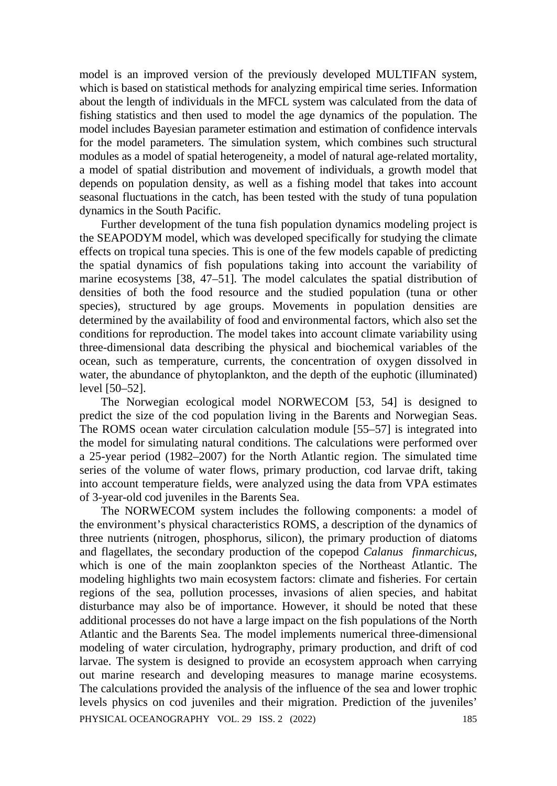model is an improved version of the previously developed MULTIFAN system, which is based on statistical methods for analyzing empirical time series. Information about the length of individuals in the MFCL system was calculated from the data of fishing statistics and then used to model the age dynamics of the population. The model includes Bayesian parameter estimation and estimation of confidence intervals for the model parameters. The simulation system, which combines such structural modules as a model of spatial heterogeneity, a model of natural age-related mortality, a model of spatial distribution and movement of individuals, a growth model that depends on population density, as well as a fishing model that takes into account seasonal fluctuations in the catch, has been tested with the study of tuna population dynamics in the South Pacific.

Further development of the tuna fish population dynamics modeling project is the SEAPODYM model, which was developed specifically for studying the climate effects on tropical tuna species. This is one of the few models capable of predicting the spatial dynamics of fish populations taking into account the variability of marine ecosystems [38, 47–51]. The model calculates the spatial distribution of densities of both the food resource and the studied population (tuna or other species), structured by age groups. Movements in population densities are determined by the availability of food and environmental factors, which also set the conditions for reproduction. The model takes into account climate variability using three-dimensional data describing the physical and biochemical variables of the ocean, such as temperature, currents, the concentration of oxygen dissolved in water, the abundance of phytoplankton, and the depth of the euphotic (illuminated) level [50–52].

The Norwegian ecological model NORWECOM [53, 54] is designed to predict the size of the cod population living in the Barents and Norwegian Seas. The ROMS ocean water circulation calculation module [55–57] is integrated into the model for simulating natural conditions. The calculations were performed over a 25-year period (1982–2007) for the North Atlantic region. The simulated time series of the volume of water flows, primary production, cod larvae drift, taking into account temperature fields, were analyzed using the data from VPA estimates of 3-year-old cod juveniles in the Barents Sea.

The NORWECOM system includes the following components: a model of the environment's physical characteristics ROMS, a description of the dynamics of three nutrients (nitrogen, phosphorus, silicon), the primary production of diatoms and flagellates, the secondary production of the copepod *Calanus finmarchicus*, which is one of the main zooplankton species of the Northeast Atlantic. The modeling highlights two main ecosystem factors: climate and fisheries. For certain regions of the sea, pollution processes, invasions of alien species, and habitat disturbance may also be of importance. However, it should be noted that these additional processes do not have a large impact on the fish populations of the North Atlantic and the Barents Sea. The model implements numerical three-dimensional modeling of water circulation, hydrography, primary production, and drift of cod larvae. The system is designed to provide an ecosystem approach when carrying out marine research and developing measures to manage marine ecosystems. The calculations provided the analysis of the influence of the sea and lower trophic levels physics on cod juveniles and their migration. Prediction of the juveniles' PHYSICAL OCEANOGRAPHY VOL. 29 ISS. 2 (2022) 185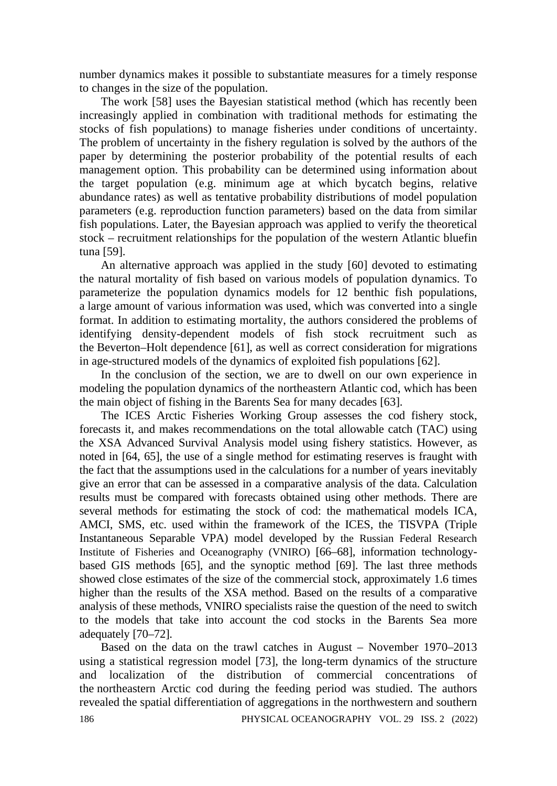number dynamics makes it possible to substantiate measures for a timely response to changes in the size of the population.

The work [58] uses the Bayesian statistical method (which has recently been increasingly applied in combination with traditional methods for estimating the stocks of fish populations) to manage fisheries under conditions of uncertainty. The problem of uncertainty in the fishery regulation is solved by the authors of the paper by determining the posterior probability of the potential results of each management option. This probability can be determined using information about the target population (e.g. minimum age at which bycatch begins, relative abundance rates) as well as tentative probability distributions of model population parameters (e.g. reproduction function parameters) based on the data from similar fish populations. Later, the Bayesian approach was applied to verify the theoretical stock – recruitment relationships for the population of the western Atlantic bluefin tuna [59].

An alternative approach was applied in the study [60] devoted to estimating the natural mortality of fish based on various models of population dynamics. To parameterize the population dynamics models for 12 benthic fish populations, a large amount of various information was used, which was converted into a single format. In addition to estimating mortality, the authors considered the problems of identifying density-dependent models of fish stock recruitment such as the Beverton–Holt dependence [61], as well as correct consideration for migrations in age-structured models of the dynamics of exploited fish populations [62].

In the conclusion of the section, we are to dwell on our own experience in modeling the population dynamics of the northeastern Atlantic cod, which has been the main object of fishing in the Barents Sea for many decades [63].

The ICES Arctic Fisheries Working Group assesses the cod fishery stock, forecasts it, and makes recommendations on the total allowable catch (TAC) using the XSA Advanced Survival Analysis model using fishery statistics. However, as noted in [64, 65], the use of a single method for estimating reserves is fraught with the fact that the assumptions used in the calculations for a number of years inevitably give an error that can be assessed in a comparative analysis of the data. Calculation results must be compared with forecasts obtained using other methods. There are several methods for estimating the stock of cod: the mathematical models ICA, AMCI, SMS, etc. used within the framework of the ICES, the TISVPA (Triple Instantaneous Separable VPA) model developed by the Russian Federal Research Institute of Fisheries and Oceanography (VNIRO) [66–68], information technologybased GIS methods [65], and the synoptic method [69]. The last three methods showed close estimates of the size of the commercial stock, approximately 1.6 times higher than the results of the XSA method. Based on the results of a comparative analysis of these methods, VNIRO specialists raise the question of the need to switch to the models that take into account the cod stocks in the Barents Sea more adequately [70–72].

Based on the data on the trawl catches in August – November 1970–2013 using a statistical regression model [73], the long-term dynamics of the structure and localization of the distribution of commercial concentrations of the northeastern Arctic cod during the feeding period was studied. The authors revealed the spatial differentiation of aggregations in the northwestern and southern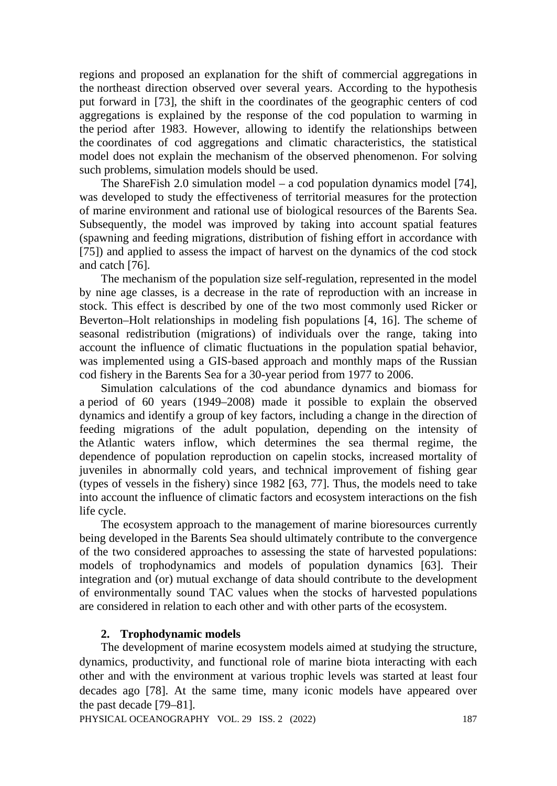regions and proposed an explanation for the shift of commercial aggregations in the northeast direction observed over several years. According to the hypothesis put forward in [73], the shift in the coordinates of the geographic centers of cod aggregations is explained by the response of the cod population to warming in the period after 1983. However, allowing to identify the relationships between the coordinates of cod aggregations and climatic characteristics, the statistical model does not explain the mechanism of the observed phenomenon. For solving such problems, simulation models should be used.

The ShareFish 2.0 simulation model – a cod population dynamics model [74], was developed to study the effectiveness of territorial measures for the protection of marine environment and rational use of biological resources of the Barents Sea. Subsequently, the model was improved by taking into account spatial features (spawning and feeding migrations, distribution of fishing effort in accordance with [75]) and applied to assess the impact of harvest on the dynamics of the cod stock and catch [76].

The mechanism of the population size self-regulation, represented in the model by nine age classes, is a decrease in the rate of reproduction with an increase in stock. This effect is described by one of the two most commonly used Ricker or Beverton–Holt relationships in modeling fish populations [4, 16]. The scheme of seasonal redistribution (migrations) of individuals over the range, taking into account the influence of climatic fluctuations in the population spatial behavior, was implemented using a GIS-based approach and monthly maps of the Russian cod fishery in the Barents Sea for a 30-year period from 1977 to 2006.

Simulation calculations of the cod abundance dynamics and biomass for a period of 60 years (1949–2008) made it possible to explain the observed dynamics and identify a group of key factors, including a change in the direction of feeding migrations of the adult population, depending on the intensity of the Atlantic waters inflow, which determines the sea thermal regime, the dependence of population reproduction on capelin stocks, increased mortality of juveniles in abnormally cold years, and technical improvement of fishing gear (types of vessels in the fishery) since 1982 [63, 77]. Thus, the models need to take into account the influence of climatic factors and ecosystem interactions on the fish life cycle.

The ecosystem approach to the management of marine bioresources currently being developed in the Barents Sea should ultimately contribute to the convergence of the two considered approaches to assessing the state of harvested populations: models of trophodynamics and models of population dynamics [63]. Their integration and (or) mutual exchange of data should contribute to the development of environmentally sound TAC values when the stocks of harvested populations are considered in relation to each other and with other parts of the ecosystem.

## **2. Trophodynamic models**

The development of marine ecosystem models aimed at studying the structure, dynamics, productivity, and functional role of marine biota interacting with each other and with the environment at various trophic levels was started at least four decades ago [78]. At the same time, many iconic models have appeared over the past decade [79–81].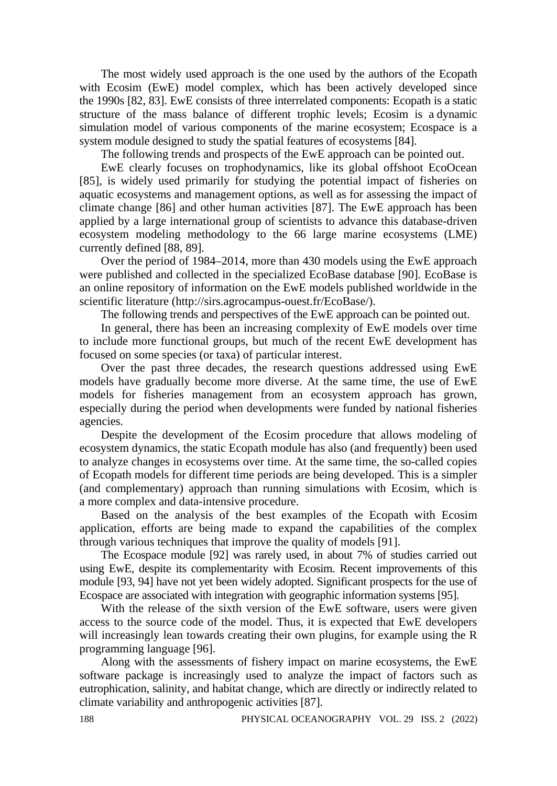The most widely used approach is the one used by the authors of the Ecopath with Ecosim (EwE) model complex, which has been actively developed since the 1990s [82, 83]. EwE consists of three interrelated components: Ecopath is a static structure of the mass balance of different trophic levels; Ecosim is a dynamic simulation model of various components of the marine ecosystem; Ecospace is a system module designed to study the spatial features of ecosystems [84].

The following trends and prospects of the EwE approach can be pointed out.

EwE clearly focuses on trophodynamics, like its global offshoot EcoOcean [85], is widely used primarily for studying the potential impact of fisheries on aquatic ecosystems and management options, as well as for assessing the impact of climate change [86] and other human activities [87]. The EwE approach has been applied by a large international group of scientists to advance this database-driven ecosystem modeling methodology to the 66 large marine ecosystems (LME) currently defined [88, 89].

Over the period of 1984–2014, more than 430 models using the EwE approach were published and collected in the specialized EcoBase database [90]. EcoBase is an online repository of information on the EwE models published worldwide in the scientific literature (http://sirs.agrocampus-ouest.fr/EcoBase/).

The following trends and perspectives of the EwE approach can be pointed out.

In general, there has been an increasing complexity of EwE models over time to include more functional groups, but much of the recent EwE development has focused on some species (or taxa) of particular interest.

Over the past three decades, the research questions addressed using EwE models have gradually become more diverse. At the same time, the use of EwE models for fisheries management from an ecosystem approach has grown, especially during the period when developments were funded by national fisheries agencies.

Despite the development of the Ecosim procedure that allows modeling of ecosystem dynamics, the static Ecopath module has also (and frequently) been used to analyze changes in ecosystems over time. At the same time, the so-called copies of Ecopath models for different time periods are being developed. This is a simpler (and complementary) approach than running simulations with Ecosim, which is a more complex and data-intensive procedure.

Based on the analysis of the best examples of the Ecopath with Ecosim application, efforts are being made to expand the capabilities of the complex through various techniques that improve the quality of models [91].

The Ecospace module [92] was rarely used, in about 7% of studies carried out using EwE, despite its complementarity with Ecosim. Recent improvements of this module [93, 94] have not yet been widely adopted. Significant prospects for the use of Ecospace are associated with integration with geographic information systems [95].

With the release of the sixth version of the EwE software, users were given access to the source code of the model. Thus, it is expected that EwE developers will increasingly lean towards creating their own plugins, for example using the R programming language [96].

Along with the assessments of fishery impact on marine ecosystems, the EwE software package is increasingly used to analyze the impact of factors such as eutrophication, salinity, and habitat change, which are directly or indirectly related to climate variability and anthropogenic activities [87].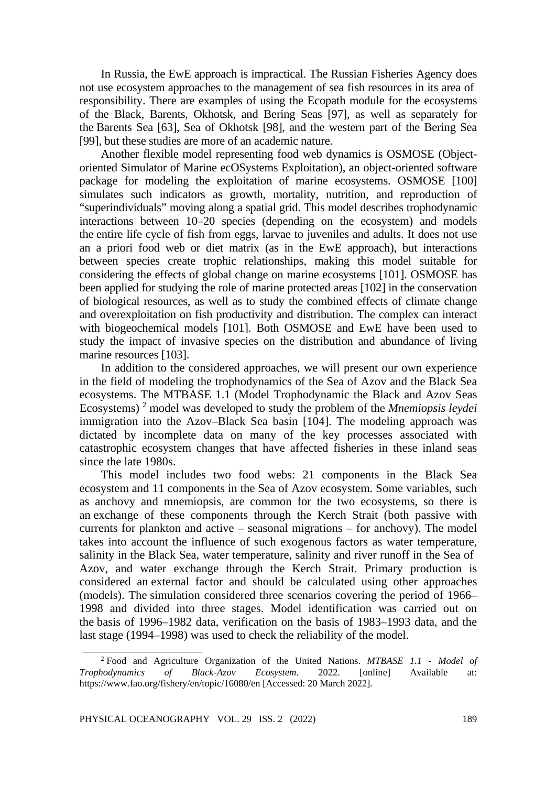In Russia, the EwE approach is impractical. The Russian Fisheries Agency does not use ecosystem approaches to the management of sea fish resources in its area of responsibility. There are examples of using the Ecopath module for the ecosystems of the Black, Barents, Okhotsk, and Bering Seas [97], as well as separately for the Barents Sea [63], Sea of Okhotsk [98], and the western part of the Bering Sea [99], but these studies are more of an academic nature.

Another flexible model representing food web dynamics is OSMOSE (Objectoriented Simulator of Marine ecOSystems Exploitation), an object-oriented software package for modeling the exploitation of marine ecosystems. OSMOSE [100] simulates such indicators as growth, mortality, nutrition, and reproduction of "superindividuals" moving along a spatial grid. This model describes trophodynamic interactions between 10–20 species (depending on the ecosystem) and models the entire life cycle of fish from eggs, larvae to juveniles and adults. It does not use an a priori food web or diet matrix (as in the EwE approach), but interactions between species create trophic relationships, making this model suitable for considering the effects of global change on marine ecosystems [101]. OSMOSE has been applied for studying the role of marine protected areas [102] in the conservation of biological resources, as well as to study the combined effects of climate change and overexploitation on fish productivity and distribution. The complex can interact with biogeochemical models [101]. Both OSMOSE and EwE have been used to study the impact of invasive species on the distribution and abundance of living marine resources [103].

In addition to the considered approaches, we will present our own experience in the field of modeling the trophodynamics of the Sea of Azov and the Black Sea ecosystems. The MTBASE 1.1 (Model Trophodynamic the Black and Azov Seas Ecosystems) <sup>2</sup> model was developed to study the problem of the *Mnemiopsis leydei* immigration into the Azov–Black Sea basin [104]. The modeling approach was dictated by incomplete data on many of the key processes associated with catastrophic ecosystem changes that have affected fisheries in these inland seas since the late 1980s.

This model includes two food webs: 21 components in the Black Sea ecosystem and 11 components in the Sea of Azov ecosystem. Some variables, such as anchovy and mnemiopsis, are common for the two ecosystems, so there is an exchange of these components through the Kerch Strait (both passive with currents for plankton and active – seasonal migrations – for anchovy). The model takes into account the influence of such exogenous factors as water temperature, salinity in the Black Sea, water temperature, salinity and river runoff in the Sea of Azov, and water exchange through the Kerch Strait. Primary production is considered an external factor and should be calculated using other approaches (models). The simulation considered three scenarios covering the period of 1966– 1998 and divided into three stages. Model identification was carried out on the basis of 1996–1982 data, verification on the basis of 1983–1993 data, and the last stage (1994–1998) was used to check the reliability of the model.

<sup>2</sup> Food and Agriculture Organization of the United Nations. *MTBASE 1.1 - Model of Trophodynamics of Black-Azov Ecosystem*. 2022. [online] Available at: https://www.fao.org/fishery/en/topic/16080/en [Accessed: 20 March 2022].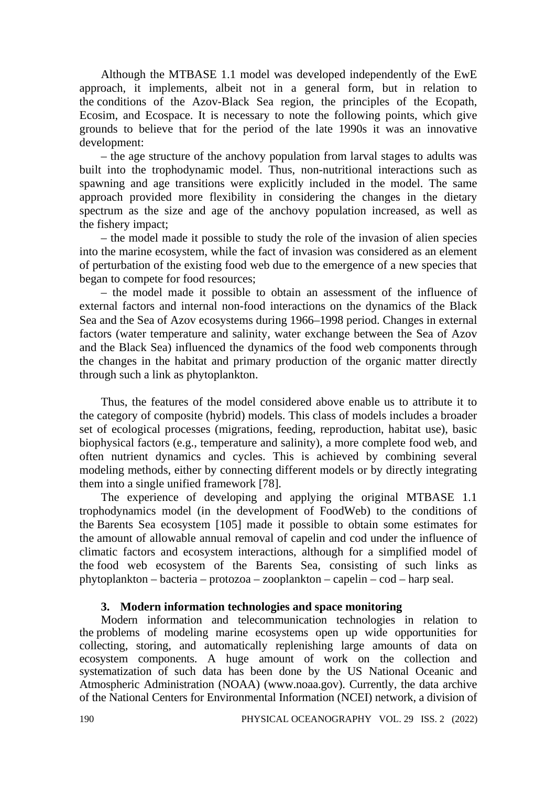Although the MTBASE 1.1 model was developed independently of the EwE approach, it implements, albeit not in a general form, but in relation to the conditions of the Azov-Black Sea region, the principles of the Ecopath, Ecosim, and Ecospace. It is necessary to note the following points, which give grounds to believe that for the period of the late 1990s it was an innovative development:

– the age structure of the anchovy population from larval stages to adults was built into the trophodynamic model. Thus, non-nutritional interactions such as spawning and age transitions were explicitly included in the model. The same approach provided more flexibility in considering the changes in the dietary spectrum as the size and age of the anchovy population increased, as well as the fishery impact;

– the model made it possible to study the role of the invasion of alien species into the marine ecosystem, while the fact of invasion was considered as an element of perturbation of the existing food web due to the emergence of a new species that began to compete for food resources;

– the model made it possible to obtain an assessment of the influence of external factors and internal non-food interactions on the dynamics of the Black Sea and the Sea of Azov ecosystems during 1966–1998 period. Changes in external factors (water temperature and salinity, water exchange between the Sea of Azov and the Black Sea) influenced the dynamics of the food web components through the changes in the habitat and primary production of the organic matter directly through such a link as phytoplankton.

Thus, the features of the model considered above enable us to attribute it to the category of composite (hybrid) models. This class of models includes a broader set of ecological processes (migrations, feeding, reproduction, habitat use), basic biophysical factors (e.g., temperature and salinity), a more complete food web, and often nutrient dynamics and cycles. This is achieved by combining several modeling methods, either by connecting different models or by directly integrating them into a single unified framework [78].

The experience of developing and applying the original MTBASE 1.1 trophodynamics model (in the development of FoodWeb) to the conditions of the Barents Sea ecosystem [105] made it possible to obtain some estimates for the amount of allowable annual removal of capelin and cod under the influence of climatic factors and ecosystem interactions, although for a simplified model of the food web ecosystem of the Barents Sea, consisting of such links as phytoplankton – bacteria – protozoa – zooplankton – capelin – cod – harp seal.

### **3. Modern information technologies and space monitoring**

Modern information and telecommunication technologies in relation to the problems of modeling marine ecosystems open up wide opportunities for collecting, storing, and automatically replenishing large amounts of data on ecosystem components. A huge amount of work on the collection and systematization of such data has been done by the US National Oceanic and Atmospheric Administration (NOAA) (www.noaa.gov). Currently, the data archive of the National Centers for Environmental Information (NCEI) network, a division of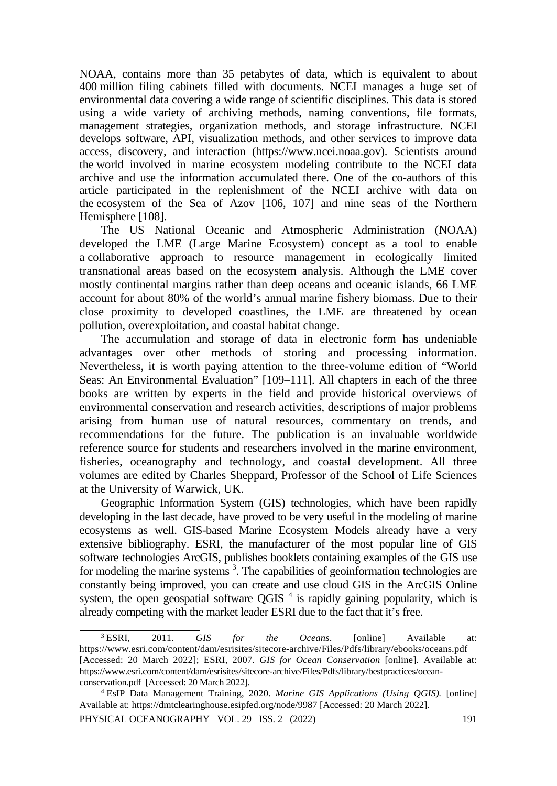NOAA, contains more than 35 petabytes of data, which is equivalent to about 400 million filing cabinets filled with documents. NCEI manages a huge set of environmental data covering a wide range of scientific disciplines. This data is stored using a wide variety of archiving methods, naming conventions, file formats, management strategies, organization methods, and storage infrastructure. NCEI develops software, API, visualization methods, and other services to improve data access, discovery, and interaction (https://www.ncei.noaa.gov). Scientists around the world involved in marine ecosystem modeling contribute to the NCEI data archive and use the information accumulated there. One of the co-authors of this article participated in the replenishment of the NCEI archive with data on the ecosystem of the Sea of Azov [106, 107] and nine seas of the Northern Hemisphere [108].

The US National Oceanic and Atmospheric Administration (NOAA) developed the LME (Large Marine Ecosystem) concept as a tool to enable a collaborative approach to resource management in ecologically limited transnational areas based on the ecosystem analysis. Although the LME cover mostly continental margins rather than deep oceans and oceanic islands, 66 LME account for about 80% of the world's annual marine fishery biomass. Due to their close proximity to developed coastlines, the LME are threatened by ocean pollution, overexploitation, and coastal habitat change.

The accumulation and storage of data in electronic form has undeniable advantages over other methods of storing and processing information. Nevertheless, it is worth paying attention to the three-volume edition of "World Seas: An Environmental Evaluation" [109–111]. All chapters in each of the three books are written by experts in the field and provide historical overviews of environmental conservation and research activities, descriptions of major problems arising from human use of natural resources, commentary on trends, and recommendations for the future. The publication is an invaluable worldwide reference source for students and researchers involved in the marine environment, fisheries, oceanography and technology, and coastal development. All three volumes are edited by Charles Sheppard, Professor of the School of Life Sciences at the University of Warwick, UK.

Geographic Information System (GIS) technologies, which have been rapidly developing in the last decade, have proved to be very useful in the modeling of marine ecosystems as well. GIS-based Marine Ecosystem Models already have a very extensive bibliography. ESRI, the manufacturer of the most popular line of GIS software technologies ArcGIS, publishes booklets containing examples of the GIS use for modeling the marine systems<sup>3</sup>. The capabilities of geoinformation technologies are constantly being improved, you can create and use cloud GIS in the ArcGIS Online system, the open geospatial software QGIS  $<sup>4</sup>$  is rapidly gaining popularity, which is</sup> already competing with the market leader ESRI due to the fact that it's free.

<sup>3</sup> ESRI, 2011. *GIS for the Oceans*. [online] Available at: <https://www.esri.com/content/dam/esrisites/sitecore-archive/Files/Pdfs/library/ebooks/oceans.pdf> [Accessed: 20 March 2022]; ESRI, 2007. *GIS for Ocean Conservation* [online]. Available at: [https://www.esri.com/content/dam/esrisites/sitecore-archive/Files/Pdfs/library/bestpractices/ocean](https://www.esri.com/content/dam/esrisites/sitecore-archive/Files/Pdfs/library/bestpractices/ocean-conservation.pdf)[conservation.pdf](https://www.esri.com/content/dam/esrisites/sitecore-archive/Files/Pdfs/library/bestpractices/ocean-conservation.pdf) [Accessed: 20 March 2022].

<sup>4</sup> EsIP Data Management Training, 2020. *Marine GIS Applications (Using QGIS).* [online] Available at:<https://dmtclearinghouse.esipfed.org/node/9987> [Accessed: 20 March 2022].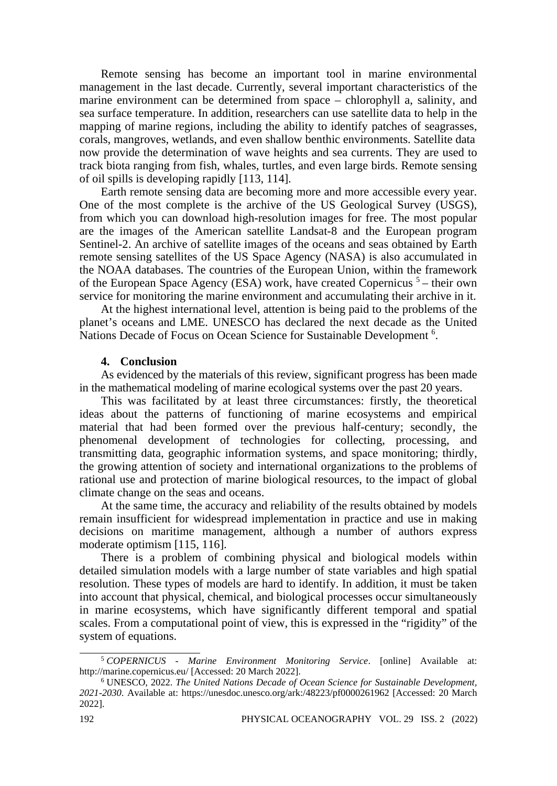Remote sensing has become an important tool in marine environmental management in the last decade. Currently, several important characteristics of the marine environment can be determined from space – chlorophyll a, salinity, and sea surface temperature. In addition, researchers can use satellite data to help in the mapping of marine regions, including the ability to identify patches of seagrasses, corals, mangroves, wetlands, and even shallow benthic environments. Satellite data now provide the determination of wave heights and sea currents. They are used to track biota ranging from fish, whales, turtles, and even large birds. Remote sensing of oil spills is developing rapidly [113, 114].

Earth remote sensing data are becoming more and more accessible every year. One of the most complete is the archive of the US Geological Survey (USGS), from which you can download high-resolution images for free. The most popular are the images of the American satellite Landsat-8 and the European program Sentinel-2. An archive of satellite images of the oceans and seas obtained by Earth remote sensing satellites of the US Space Agency (NASA) is also accumulated in the NOAA databases. The countries of the European Union, within the framework of the European Space Agency (ESA) work, have created Copernicus  $5$  – their own service for monitoring the marine environment and accumulating their archive in it.

At the highest international level, attention is being paid to the problems of the planet's oceans and LME. UNESCO has declared the next decade as the United Nations Decade of Focus on Ocean Science for Sustainable Development<sup>6</sup>.

#### **4. Conclusion**

As evidenced by the materials of this review, significant progress has been made in the mathematical modeling of marine ecological systems over the past 20 years.

This was facilitated by at least three circumstances: firstly, the theoretical ideas about the patterns of functioning of marine ecosystems and empirical material that had been formed over the previous half-century; secondly, the phenomenal development of technologies for collecting, processing, and transmitting data, geographic information systems, and space monitoring; thirdly, the growing attention of society and international organizations to the problems of rational use and protection of marine biological resources, to the impact of global climate change on the seas and oceans.

At the same time, the accuracy and reliability of the results obtained by models remain insufficient for widespread implementation in practice and use in making decisions on maritime management, although a number of authors express moderate optimism [115, 116].

There is a problem of combining physical and biological models within detailed simulation models with a large number of state variables and high spatial resolution. These types of models are hard to identify. In addition, it must be taken into account that physical, chemical, and biological processes occur simultaneously in marine ecosystems, which have significantly different temporal and spatial scales. From a computational point of view, this is expressed in the "rigidity" of the system of equations.

<sup>5</sup> *COPERNICUS - Marine Environment Monitoring Service*. [online] Available at: http://marine.copernicus.eu/ [Accessed: 20 March 2022].

<sup>6</sup> UNESCO, 2022. *The United Nations Decade of Ocean Science for Sustainable Development, 2021-2030*. Available at:<https://unesdoc.unesco.org/ark:/48223/pf0000261962> [Accessed: 20 March 2022].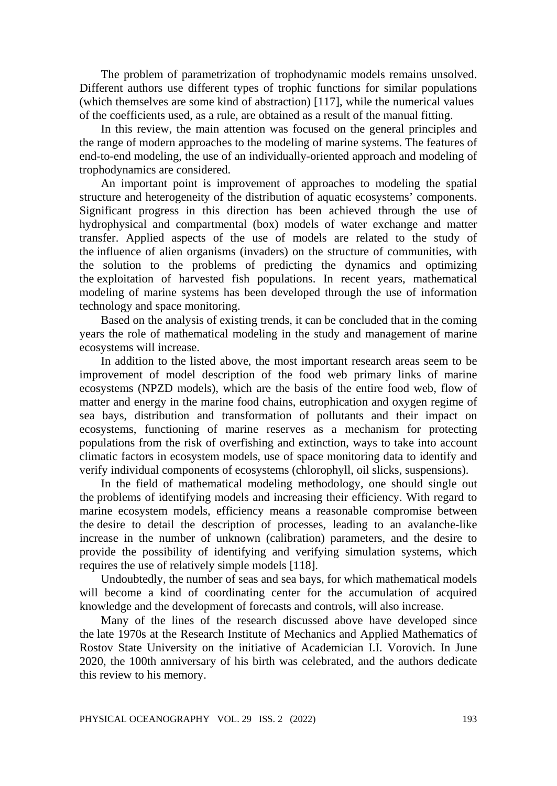The problem of parametrization of trophodynamic models remains unsolved. Different authors use different types of trophic functions for similar populations (which themselves are some kind of abstraction) [117], while the numerical values of the coefficients used, as a rule, are obtained as a result of the manual fitting.

In this review, the main attention was focused on the general principles and the range of modern approaches to the modeling of marine systems. The features of end-to-end modeling, the use of an individually-oriented approach and modeling of trophodynamics are considered.

An important point is improvement of approaches to modeling the spatial structure and heterogeneity of the distribution of aquatic ecosystems' components. Significant progress in this direction has been achieved through the use of hydrophysical and compartmental (box) models of water exchange and matter transfer. Applied aspects of the use of models are related to the study of the influence of alien organisms (invaders) on the structure of communities, with the solution to the problems of predicting the dynamics and optimizing the exploitation of harvested fish populations. In recent years, mathematical modeling of marine systems has been developed through the use of information technology and space monitoring.

Based on the analysis of existing trends, it can be concluded that in the coming years the role of mathematical modeling in the study and management of marine ecosystems will increase.

In addition to the listed above, the most important research areas seem to be improvement of model description of the food web primary links of marine ecosystems (NPZD models), which are the basis of the entire food web, flow of matter and energy in the marine food chains, eutrophication and oxygen regime of sea bays, distribution and transformation of pollutants and their impact on ecosystems, functioning of marine reserves as a mechanism for protecting populations from the risk of overfishing and extinction, ways to take into account climatic factors in ecosystem models, use of space monitoring data to identify and verify individual components of ecosystems (chlorophyll, oil slicks, suspensions).

In the field of mathematical modeling methodology, one should single out the problems of identifying models and increasing their efficiency. With regard to marine ecosystem models, efficiency means a reasonable compromise between the desire to detail the description of processes, leading to an avalanche-like increase in the number of unknown (calibration) parameters, and the desire to provide the possibility of identifying and verifying simulation systems, which requires the use of relatively simple models [118].

Undoubtedly, the number of seas and sea bays, for which mathematical models will become a kind of coordinating center for the accumulation of acquired knowledge and the development of forecasts and controls, will also increase.

Many of the lines of the research discussed above have developed since the late 1970s at the Research Institute of Mechanics and Applied Mathematics of Rostov State University on the initiative of Academician I.I. Vorovich. In June 2020, the 100th anniversary of his birth was celebrated, and the authors dedicate this review to his memory.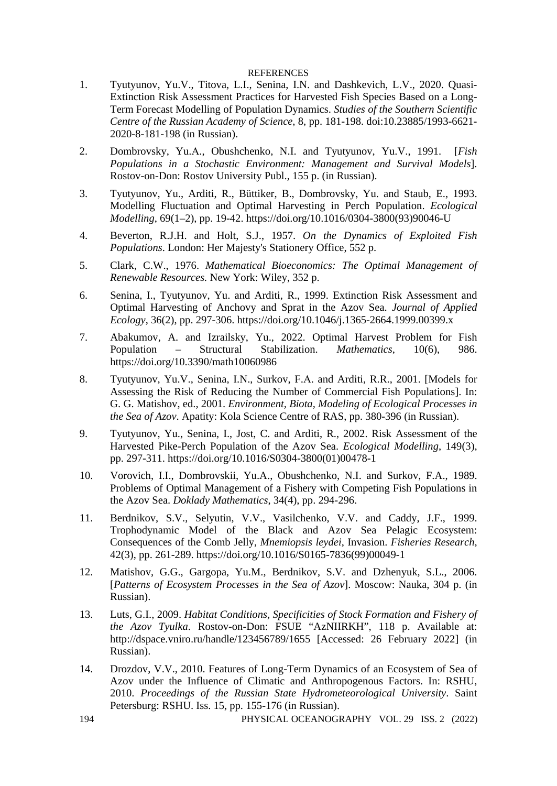#### **REFERENCES**

- 1. Tyutyunov, Yu.V., Titova, L.I., Senina, I.N. and Dashkevich, L.V., 2020. Quasi-Extinction Risk Assessment Practices for Harvested Fish Species Based on a Long-Term Forecast Modelling of Population Dynamics. *Studies of the Southern Scientific Centre of the Russian Academy of Science*, 8, pp. 181-198. doi:10.23885/1993-6621- 2020-8-181-198 (in Russian).
- 2. Dombrovsky, Yu.А., Obushchenko, N.I. and Tyutyunov, Yu.V., 1991. [*Fish Populations in a Stochastic Environment: Management and Survival Models*]. Rostov-on-Don: Rostov University Publ., 155 p. (in Russian).
- 3. Tyutyunov, Yu., Arditi, R., Büttiker, B., Dombrovsky, Yu. and Staub, E., 1993. Modelling Fluctuation and Optimal Harvesting in Perch Population. *Ecological Modelling*, 69(1–2), pp. 19-42. https://doi.org/10.1016/0304-3800(93)90046-U
- 4. Beverton, R.J.H. and Holt, S.J., 1957. *On the Dynamics of Exploited Fish Populations*. London: Her Majesty's Stationery Office, 552 p.
- 5. Clark, C.W., 1976. *Mathematical Bioeconomics: The Optimal Management of Renewable Resources.* New York: Wiley, 352 p.
- 6. Senina, I., Tyutyunov, Yu. and Arditi, R., 1999. Extinction Risk Assessment and Optimal Harvesting of Anchovy and Sprat in the Azov Sea. *Journal of Applied Ecology*, 36(2), pp. 297-306. https://doi.org/10.1046/j.1365-2664.1999.00399.x
- 7. Abakumov, A. and Izrailsky, Yu., 2022. Optimal Harvest Problem for Fish Population – Structural Stabilization. *Mathematics*, 10(6), 986. https://doi.org/10.3390/math10060986
- 8. Tyutyunov, Yu.V., Senina, I.N., Surkov, F.А. and Arditi, R.R., 2001. [Models for Assessing the Risk of Reducing the Number of Commercial Fish Populations]. In: G. G. Matishov, ed., 2001. *Environment, Biota, Modeling of Ecological Processes in the Sea of Azov*. Apatity: Kola Science Centre of RAS, pp. 380-396 (in Russian).
- 9. Tyutyunov, Yu., Senina, I., Jost, C. and Arditi, R., 2002. Risk Assessment of the Harvested Pike-Perch Population of the Azov Sea. *Ecological Modelling*, 149(3), pp. 297-311. https://doi.org/10.1016/S0304-3800(01)00478-1
- 10. Vorovich, I.I., Dombrovskii, Yu.A., Obushchenko, N.I. and Surkov, F.A., 1989. Problems of Optimal Management of a Fishery with Competing Fish Populations in the Azov Sea. *Doklady Mathematics*, 34(4), pp. 294-296.
- 11. Berdnikov, S.V., Selyutin, V.V., Vasilchenko, V.V. and Caddy, J.F., 1999. Trophodynamic Model of the Black and Azov Sea Pelagic Ecosystem: Consequences of the Comb Jelly, *Mnemiopsis leydei*, Invasion. *Fisheries Research*, 42(3), pp. 261-289. https://doi.org/10.1016/S0165-7836(99)00049-1
- 12. Matishov, G.G., Gargopa, Yu.M., Berdnikov, S.V. and Dzhenyuk, S.L., 2006. [*Patterns of Ecosystem Processes in the Sea of Azov*]. Moscow: Nauka, 304 p. (in Russian).
- 13. Luts, G.I., 2009. *Habitat Conditions, Specificities of Stock Formation and Fishery of the Azov Tyulka*. Rostov-on-Don: FSUE "AzNIIRKH", 118 p. Available at: http://dspace.vniro.ru/handle/123456789/1655 [Accessed: 26 February 2022] (in Russian).
- 14. Drozdov, V.V., 2010. Features of Long-Term Dynamics of an Ecosystem of Sea of Azov under the Influence of Climatic and Anthropogenous Factors. In: RSHU, 2010. *Proceedings of the Russian State Hydrometeorological University*. Saint Petersburg: RSHU. Iss. 15, pp. 155-176 (in Russian).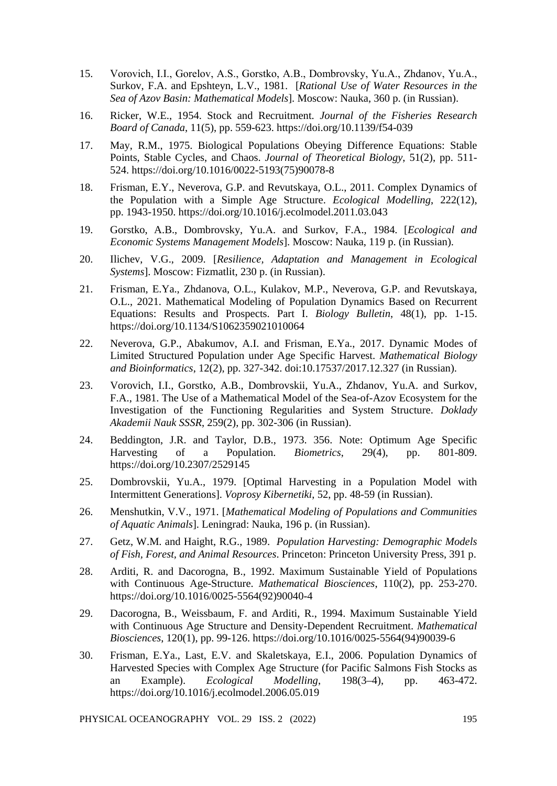- 15. Vorovich, I.I., Gorelov, A.S., Gorstko, A.B., Dombrovsky, Yu.А., Zhdanov, Yu.A., Surkov, F.A. and Epshteyn, L.V., 1981. [*Rational Use of Water Resources in the Sea of Azov Basin: Mathematical Models*]. Moscow: Nauka, 360 p. (in Russian).
- 16. Ricker, W.E., 1954. Stock and Recruitment. *Journal of the Fisheries Research Board of Canada*, 11(5), pp. 559-623. https://doi.org/10.1139/f54-039
- 17. May, R.M., 1975. Biological Populations Obeying Difference Equations: Stable Points, Stable Cycles, and Chaos. *Journal of Theoretical Biology*, 51(2), pp. 511- 524. https://doi.org/10.1016/0022-5193(75)90078-8
- 18. Frisman, E.Y., Neverova, G.P. and Revutskaya, O.L., 2011. Complex Dynamics of the Population with a Simple Age Structure. *Ecological Modelling*, 222(12), pp. 1943-1950. https://doi.org/10.1016/j.ecolmodel.2011.03.043
- 19. Gorstko, A.B., Dombrovsky, Yu.А. and Surkov, F.A., 1984. [*Ecological and Economic Systems Management Models*]. Moscow: Nauka, 119 p. (in Russian).
- 20. Ilichev, V.G., 2009. [*Resilience, Adaptation and Management in Ecological Systems*]. Moscow: Fizmatlit, 230 p. (in Russian).
- 21. Frisman, E.Ya., Zhdanova, O.L., Kulakov, M.P., Neverova, G.P. and Revutskaya, O.L., 2021. Mathematical Modeling of Population Dynamics Based on Recurrent Equations: Results and Prospects. Part I. *Biology Bulletin*, 48(1), pp. 1-15. https://doi.org/10.1134/S1062359021010064
- 22. Neverova, G.P., Abakumov, A.I. and Frisman, E.Ya., 2017. Dynamic Modes of Limited Structured Population under Age Specific Harvest. *Mathematical Biology and Bioinformatics*, 12(2), pp. 327-342. doi:10.17537/2017.12.327 (in Russian).
- 23. Vorovich, I.I., Gorstko, A.B., Dombrovskii, Yu.A., Zhdanov, Yu.A. and Surkov, F.A., 1981. The Use of a Mathematical Model of the Sea-of-Azov Ecosystem for the Investigation of the Functioning Regularities and System Structure. *Doklady Akademii Nauk SSSR*, 259(2), pp. 302-306 (in Russian).
- 24. Beddington, J.R. and Taylor, D.B., 1973. 356. Note: Optimum Age Specific Harvesting of a Population. *Biometrics*, 29(4), pp. 801-809. https://doi.org/10.2307/2529145
- 25. Dombrovskii, Yu.A., 1979. [Optimal Harvesting in a Population Model with Intermittent Generations]. *Voprosy Kibernetiki*, 52, pp. 48-59 (in Russian).
- 26. Menshutkin, V.V., 1971. [*Mathematical Modeling of Populations and Communities of Aquatic Animals*]. Leningrad: Nauka, 196 p. (in Russian).
- 27. Getz, W.M. and Haight, R.G., 1989. *Population Harvesting: Demographic Models of Fish, Forest, and Animal Resources*. Princeton: Princeton University Press, 391 p.
- 28. Arditi, R. and Dacorogna, B., 1992. Maximum Sustainable Yield of Populations with Continuous Age-Structure. *Mathematical Biosciences*, 110(2), pp. 253-270. https://doi.org/10.1016/0025-5564(92)90040-4
- 29. Dacorogna, B., Weissbaum, F. and Arditi, R., 1994. Maximum Sustainable Yield with Continuous Age Structure and Density-Dependent Recruitment. *Mathematical Biosciences*, 120(1), pp. 99-126. https://doi.org/10.1016/0025-5564(94)90039-6
- 30. Frisman, E.Ya., Last, E.V. and Skaletskaya, E.I., 2006. Population Dynamics of Harvested Species with Complex Age Structure (for Pacific Salmons Fish Stocks as an Example). *Ecological Modelling*, 198(3–4), pp. 463-472. https://doi.org/10.1016/j.ecolmodel.2006.05.019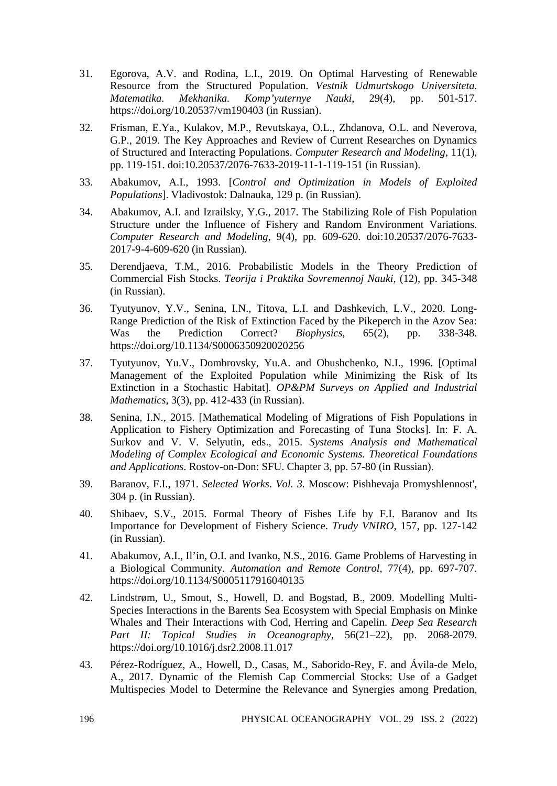- 31. Egorova, A.V. and Rodina, L.I., 2019. On Optimal Harvesting of Renewable Resource from the Structured Population. *Vestnik Udmurtskogo Universiteta. Komp'yuternye Nauki,* <https://doi.org/10.20537/vm190403> (in Russian).
- 32. Frisman, E.Ya., Kulakov, M.P., Revutskaya, O.L., Zhdanova, O.L. and Neverova, G.P., 2019. The Key Approaches and Review of Current Researches on Dynamics of Structured and Interacting Populations. *Computer Research and Modeling*, 11(1), pp. 119-151. doi:10.20537/2076-7633-2019-11-1-119-151 (in Russian).
- 33. Abakumov, A.I., 1993. [*Control and Optimization in Models of Exploited Populations*]. Vladivostok: Dalnauka, 129 p. (in Russian).
- 34. Abakumov, A.I. and Izrailsky, Y.G., 2017. The Stabilizing Role of Fish Population Structure under the Influence of Fishery and Random Environment Variations. *Computer Research and Modeling*, 9(4), pp. 609-620. doi:10.20537/2076-7633- 2017-9-4-609-620 (in Russian).
- 35. Derendjaeva, T.M., 2016. Probabilistic Models in the Theory Prediction of Commercial Fish Stocks. *Teorija i Praktika Sovremennoj Nauki*, (12), pp. 345-348 (in Russian).
- 36. Tyutyunov, Y.V., Senina, I.N., Titova, L.I. and Dashkevich, L.V., 2020. Long-Range Prediction of the Risk of Extinction Faced by the Pikeperch in the Azov Sea: Was the Prediction Correct? *Biophysics*, 65(2), pp. 338-348. https://doi.org/10.1134/S0006350920020256
- 37. Tyutyunov, Yu.V., Dombrovsky, Yu.A. and Obushchenko, N.I., 1996. [Optimal Management of the Exploited Population while Minimizing the Risk of Its Extinction in a Stochastic Habitat]. *OP&PM Surveys on Applied and Industrial Mathematics*, 3(3), pp. 412-433 (in Russian).
- 38. Senina, I.N., 2015. [Mathematical Modeling of Migrations of Fish Populations in Application to Fishery Optimization and Forecasting of Tuna Stocks]. In: F. A. Surkov and V. V. Selyutin, eds., 2015. *Systems Analysis and Mathematical Modeling of Complex Ecological and Economic Systems. Theoretical Foundations and Applications*. Rostov-on-Don: SFU. Chapter 3, pp. 57-80 (in Russian).
- 39. Baranov, F.I., 1971. *Selected Works*. *Vol. 3.* Moscow: Pishhevaja Promyshlennost', 304 p. (in Russian).
- 40. Shibaev, S.V., 2015. Formal Theory of Fishes Life by F.I. Baranov and Its Importance for Development of Fishery Science. *Trudy VNIRO*, 157, pp. 127-142 (in Russian).
- 41. Abakumov, A.I., Il'in, O.I. and Ivanko, N.S., 2016. Game Problems of Harvesting in a Biological Community. *Automation and Remote Control*, 77(4), pp. 697-707. https://doi.org/10.1134/S0005117916040135
- 42. Lindstrøm, U., Smout, S., Howell, D. and Bogstad, B., 2009. Modelling Multi-Species Interactions in the Barents Sea Ecosystem with Special Emphasis on Minke Whales and Their Interactions with Cod, Herring and Capelin. *Deep Sea Research Part II: Topical Studies in Oceanography*, 56(21–22), pp. 2068-2079. https://doi.org/10.1016/j.dsr2.2008.11.017
- 43. Pérez-Rodríguez, A., Howell, D., Casas, M., Saborido-Rey, F. and Ávila-de Melo, A., 2017. Dynamic of the Flemish Cap Commercial Stocks: Use of a Gadget Multispecies Model to Determine the Relevance and Synergies among Predation,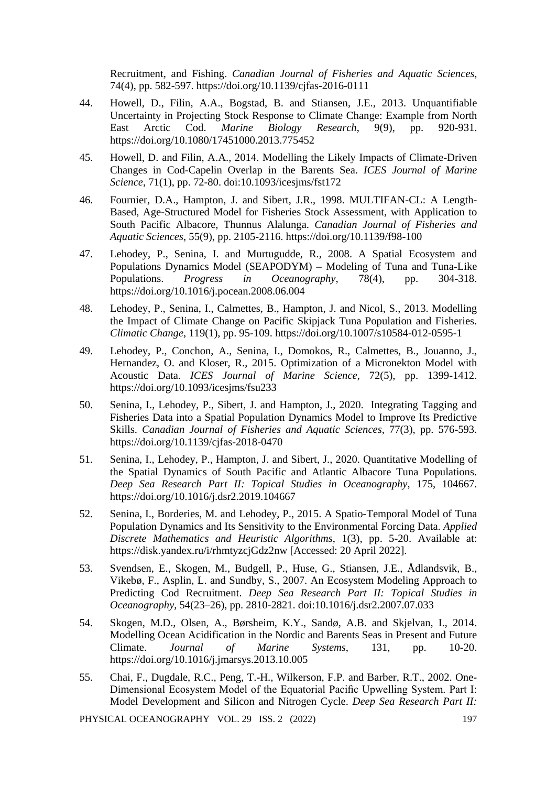Recruitment, and Fishing. *Canadian Journal of Fisheries and Aquatic Sciences*, 74(4), pp. 582-597. https://doi.org/10.1139/cjfas-2016-0111

- 44. Howell, D., Filin, A.A., Bogstad, B. and Stiansen, J.E., 2013. Unquantifiable Uncertainty in Projecting Stock Response to Climate Change: Example from North East Arctic Cod. *Marine Biology Research*, 9(9), pp. 920-931. https://doi.org/10.1080/17451000.2013.775452
- 45. Howell, D. and Filin, A.A., 2014. Modelling the Likely Impacts of Climate-Driven Changes in Cod-Capelin Overlap in the Barents Sea. *ICES Journal of Marine Science*, 71(1), pp. 72-80. doi:10.1093/icesjms/fst172
- 46. Fournier, D.A., Hampton, J. and Sibert, J.R., 1998. MULTIFAN-CL: A Length-Based, Age-Structured Model for Fisheries Stock Assessment, with Application to South Pacific Albacore, Thunnus Alalunga. *Canadian Journal of Fisheries and Aquatic Sciences*, 55(9), pp. 2105-2116. https://doi.org/10.1139/f98-100
- 47. Lehodey, P., Senina, I. and Murtugudde, R., 2008. A Spatial Ecosystem and Populations Dynamics Model (SEAPODYM) – Modeling of Tuna and Tuna-Like Populations. *Progress in Oceanography*, 78(4), pp. 304-318. https://doi.org/10.1016/j.pocean.2008.06.004
- 48. Lehodey, P., Senina, I., Calmettes, B., Hampton, J. and Nicol, S., 2013. Modelling the Impact of Climate Change on Pacific Skipjack Tuna Population and Fisheries. *Climatic Change*, 119(1), pp. 95-109. https://doi.org/10.1007/s10584-012-0595-1
- 49. Lehodey, P., Conchon, A., Senina, I., Domokos, R., Calmettes, B., Jouanno, J., Hernandez, O. and Kloser, R., 2015. Optimization of a Micronekton Model with Acoustic Data. *ICES Journal of Marine Science*, 72(5), pp. 1399-1412. https://doi.org/10.1093/icesjms/fsu233
- 50. Senina, I., Lehodey, P., Sibert, J. and Hampton, J., 2020. Integrating Tagging and Fisheries Data into a Spatial Population Dynamics Model to Improve Its Predictive Skills. *Canadian Journal of Fisheries and Aquatic Sciences*, 77(3), pp. 576-593. https://doi.org/10.1139/cjfas-2018-0470
- 51. Senina, I., Lehodey, P., Hampton, J. and Sibert, J., 2020. Quantitative Modelling of the Spatial Dynamics of South Pacific and Atlantic Albacore Tuna Populations. *Deep Sea Research Part II: Topical Studies in Oceanography*, 175, 104667. <https://doi.org/10.1016/j.dsr2.2019.104667>
- 52. Senina, I., Borderies, M. and Lehodey, P., 2015. A Spatio-Temporal Model of Tuna Population Dynamics and Its Sensitivity to the Environmental Forcing Data. *Applied Discrete Mathematics and Heuristic Algorithms*, 1(3), pp. 5-20. Available at: <https://disk.yandex.ru/i/rhmtyzcjGdz2nw> [Accessed: 20 April 2022].
- 53. Svendsen, E., Skogen, M., Budgell, P., Huse, G., Stiansen, J.E., Ådlandsvik, B., Vikebø, F., Asplin, L. and Sundby, S., 2007. An Ecosystem Modeling Approach to Predicting Cod Recruitment. *Deep Sea Research Part II: Topical Studies in Oceanography*, 54(23–26), pp. 2810-2821. doi:10.1016/j.dsr2.2007.07.033
- 54. Skogen, M.D., Olsen, A., Børsheim, K.Y., Sandø, A.B. and Skjelvan, I., 2014. Modelling Ocean Acidification in the Nordic and Barents Seas in Present and Future Climate. *Journal of Marine Systems*, 131, pp. 10-20. https://doi.org/10.1016/j.jmarsys.2013.10.005
- 55. Chai, F., Dugdale, R.C., Peng, T.-H., Wilkerson, F.P. and Barber, R.T., 2002. One-Dimensional Ecosystem Model of the Equatorial Pacific Upwelling System. Part I: Model Development and Silicon and Nitrogen Cycle. *Deep Sea Research Part II:*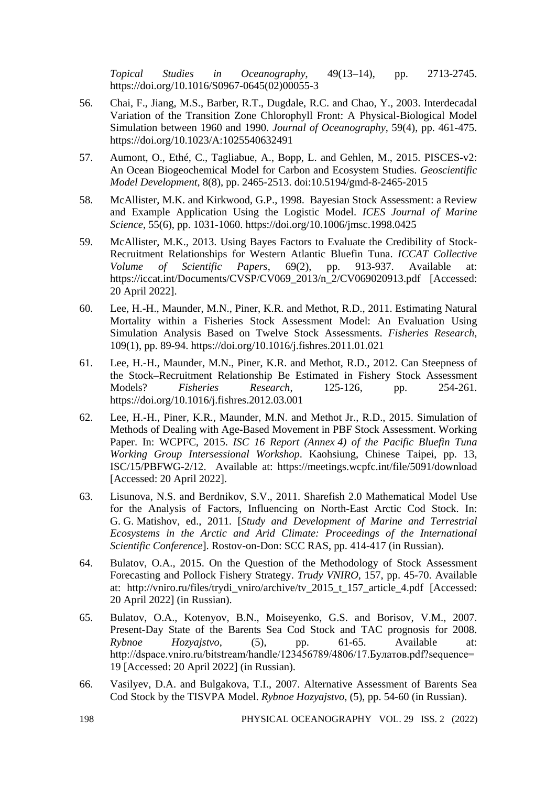*Topical Studies in Oceanography*, 49(13–14), pp. 2713-2745. https://doi.org/10.1016/S0967-0645(02)00055-3

- 56. Chai, F., Jiang, M.S., Barber, R.T., Dugdale, R.C. and Chao, Y., 2003. Interdecadal Variation of the Transition Zone Chlorophyll Front: A Physical-Biological Model Simulation between 1960 and 1990. *Journal of Oceanography*, 59(4), pp. 461-475. https://doi.org/10.1023/A:1025540632491
- 57. Aumont, O., Ethé, C., Tagliabue, A., Bopp, L. and Gehlen, M., 2015. PISCES-v2: An Ocean Biogeochemical Model for Carbon and Ecosystem Studies. *Geoscientific Model Development*, 8(8), pp. 2465-2513. doi:10.5194/gmd-8-2465-2015
- 58. McAllister, M.K. and Kirkwood, G.P., 1998. Bayesian Stock Assessment: a Review and Example Application Using the Logistic Model. *ICES Journal of Marine Science*, 55(6), pp. 1031-1060. https://doi.org/10.1006/jmsc.1998.0425
- 59. McAllister, M.K., 2013. Using Bayes Factors to Evaluate the Credibility of Stock-Recruitment Relationships for Western Atlantic Bluefin Tuna. *ICCAT Collective Volume of Scientific Papers*, 69(2), pp. 913-937. Available at: [https://iccat.int/Documents/CVSP/CV069\\_2013/n\\_2/CV069020913.pdf](https://iccat.int/Documents/CVSP/CV069_2013/n_2/CV069020913.pdf) [Accessed: 20 April 2022].
- 60. Lee, H.-H., Maunder, M.N., Piner, K.R. and Methot, R.D., 2011. Estimating Natural Mortality within a Fisheries Stock Assessment Model: An Evaluation Using Simulation Analysis Based on Twelve Stock Assessments. *Fisheries Research*, 109(1), pp. 89-94. https://doi.org/10.1016/j.fishres.2011.01.021
- 61. Lee, H.-H., Maunder, M.N., Piner, K.R. and Methot, R.D., 2012. Can Steepness of the Stock–Recruitment Relationship Be Estimated in Fishery Stock Assessment Models? *Fisheries Research*, 125-126, pp. 254-261. https://doi.org/10.1016/j.fishres.2012.03.001
- 62. Lee, H.-H., Piner, K.R., Maunder, M.N. and Methot Jr., R.D., 2015. Simulation of Methods of Dealing with Age-Based Movement in PBF Stock Assessment. Working Paper. In: WCPFC, 2015. *ISC 16 Report (Annex 4) of the Pacific Bluefin Tuna Working Group Intersessional Workshop*. Kaohsiung, Chinese Taipei, pp. 13, ISC/15/PBFWG-2/12. Available at:<https://meetings.wcpfc.int/file/5091/download> [Accessed: 20 April 2022].
- 63. Lisunova, N.S. and Berdnikov, S.V., 2011. Sharefish 2.0 Mathematical Model Use for the Analysis of Factors, Influencing on North-East Arctic Cod Stock. In: G. G. Matishov, ed., 2011. [*Study and Development of Marine and Terrestrial Ecosystems in the Arctic and Arid Climate: Proceedings of the International Scientific Conference*]. Rostov-on-Don: SCC RAS, pp. 414-417 (in Russian).
- 64. Bulatov, O.A., 2015. On the Question of the Methodology of Stock Assessment Forecasting and Pollock Fishery Strategy. *Trudy VNIRO*, 157, pp. 45-70. Available at: [http://vniro.ru/files/trydi\\_vniro/archive/tv\\_2015\\_t\\_157\\_article\\_4.pdf](http://vniro.ru/files/trydi_vniro/archive/tv_2015_t_157_article_4.pdf) [Accessed: 20 April 2022] (in Russian).
- 65. Bulatov, O.A., Kotenyov, B.N., Moiseyenko, G.S. and Borisov, V.M., 2007. Present-Day State of the Barents Sea Cod Stock and TAC prognosis for 2008. *Rybnoe Hozyajstvo*, (5), pp. 61-65. Available at: [http://dspace.vniro.ru/bitstream/handle/123456789/4806/17.Булатов.pdf?sequence=](http://dspace.vniro.ru/bitstream/handle/123456789/4806/17.%D0%91%D1%83%D0%BB%D0%B0%D1%82%D0%BE%D0%B2.pdf?sequence=19) [19](http://dspace.vniro.ru/bitstream/handle/123456789/4806/17.%D0%91%D1%83%D0%BB%D0%B0%D1%82%D0%BE%D0%B2.pdf?sequence=19) [Accessed: 20 April 2022] (in Russian).
- 66. Vasilyev, D.A. and Bulgakova, T.I., 2007. Alternative Assessment of Barents Sea Cod Stock by the TISVPA Model. *Rybnoe Hozyajstvo*, (5), pp. 54-60 (in Russian).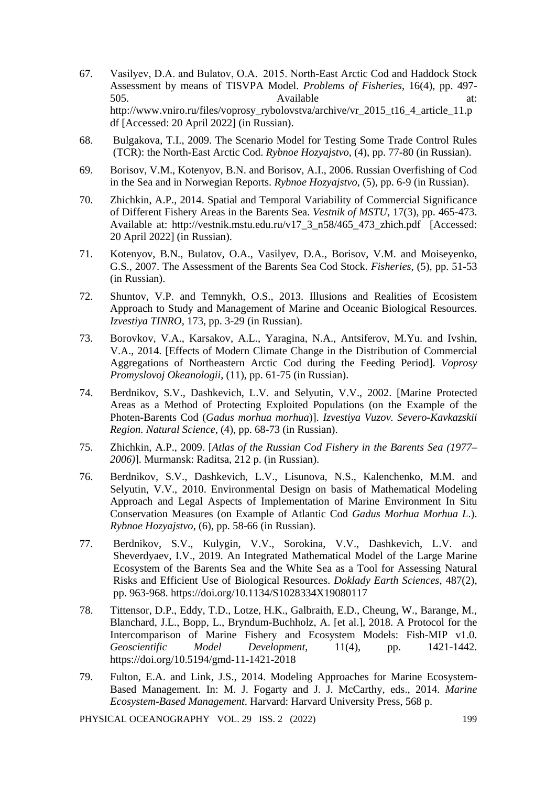- 67. Vasilyev, D.A. and Bulatov, O.A.  2015. North-East Arctic Cod and Haddock Stock Assessment by means of TISVPA Model. *Problems of Fisheries*, 16(4), pp. 497- 505. Available at: [http://www.vniro.ru/files/voprosy\\_rybolovstva/archive/vr\\_2015\\_t16\\_4\\_article\\_11.p](http://www.vniro.ru/files/voprosy_rybolovstva/archive/vr_2015_t16_4_article_11.pdf) [df](http://www.vniro.ru/files/voprosy_rybolovstva/archive/vr_2015_t16_4_article_11.pdf) [Accessed: 20 April 2022] (in Russian).
- 68. Bulgakova, T.I., 2009. The Scenario Model for Testing Some Trade Control Rules (TCR): the North-East Arctic Cod. *Rybnoe Hozyajstvo*, (4), pp. 77-80 (in Russian).
- 69. Borisov, V.M., Kotenyov, B.N. and Borisov, A.I., 2006. Russian Overfishing of Cod in the Sea and in Norwegian Reports. *Rybnoe Hozyajstvo*, (5), pp. 6-9 (in Russian).
- 70. Zhichkin, A.P., 2014. Spatial and Temporal Variability of Commercial Significance of Different Fishery Areas in the Barents Sea. *Vestnik of MSTU*, 17(3), pp. 465-473. Available at: [http://vestnik.mstu.edu.ru/v17\\_3\\_n58/465\\_473\\_zhich.pdf](http://vestnik.mstu.edu.ru/v17_3_n58/465_473_zhich.pdf) [Accessed: 20 April 2022] (in Russian).
- 71. Kotenyov, B.N., Bulatov, O.A., Vasilyev, D.A., Borisov, V.M. and Moiseyenko, G.S., 2007. The Assessment of the Barents Sea Cod Stock. *Fisheries*, (5), pp. 51-53 (in Russian).
- 72. Shuntov, V.P. and Temnykh, O.S., 2013. Illusions and Realities of Ecosistem Approach to Study and Management of Marine and Oceanic Biological Resources. *Izvestiya TINRO*, 173, pp. 3-29 (in Russian).
- 73. Borovkov, V.A., Karsakov, A.L., Yaragina, N.A., Antsiferov, M.Yu. and Ivshin, V.A., 2014. [Effects of Modern Climate Change in the Distribution of Commercial Aggregations of Northeastern Arctic Cod during the Feeding Period]. *Voprosy Promyslovoj Okeanologii*, (11), pp. 61-75 (in Russian).
- 74. Berdnikov, S.V., Dashkevich, L.V. and Selyutin, V.V., 2002. [Marine Protected Areas as a Method of Protecting Exploited Populations (on the Example of the Photen-Barents Cod (*Gadus morhua morhua*)]. *Izvestiya Vuzov. Severo-Kavkazskii Region. Natural Science*, (4), pp. 68-73 (in Russian).
- 75. Zhichkin, A.P., 2009. [*Atlas of the Russian Cod Fishery in the Barents Sea (1977– 2006)*]. Murmansk: Raditsa, 212 p. (in Russian).
- 76. Berdnikov, S.V., Dashkevich, L.V., Lisunova, N.S., Kalenchenko, M.M. and Selyutin, V.V., 2010. Environmental Design on basis of Mathematical Modeling Approach and Legal Aspects of Implementation of Marine Environment In Situ Conservation Measures (on Example of Atlantic Cod *Gadus Morhua Morhua L*.). *Rybnoe Hozyajstvo*, (6), pp. 58-66 (in Russian).
- 77. Berdnikov, S.V., Kulygin, V.V., Sorokina, V.V., Dashkevich, L.V. and Sheverdyaev, I.V., 2019. An Integrated Mathematical Model of the Large Marine Ecosystem of the Barents Sea and the White Sea as a Tool for Assessing Natural Risks and Efficient Use of Biological Resources. *Doklady Earth Sciences*, 487(2), pp. 963-968. https://doi.org/10.1134/S1028334X19080117
- 78. Tittensor, D.P., Eddy, T.D., Lotze, H.K., Galbraith, E.D., Cheung, W., Barange, M., Blanchard, J.L., Bopp, L., Bryndum-Buchholz, A. [et al.], 2018. A Protocol for the Intercomparison of Marine Fishery and Ecosystem Models: Fish-MIP v1.0. *Geoscientific Model Development*, 11(4), pp. 1421-1442. <https://doi.org/10.5194/gmd-11-1421-2018>
- 79. Fulton, E.A. and Link, J.S., 2014. Modeling Approaches for Marine Ecosystem-Based Management. In: M. J. Fogarty and J. J. McCarthy, eds., 2014. *Marine Ecosystem-Based Management*. Harvard: Harvard University Press, 568 p.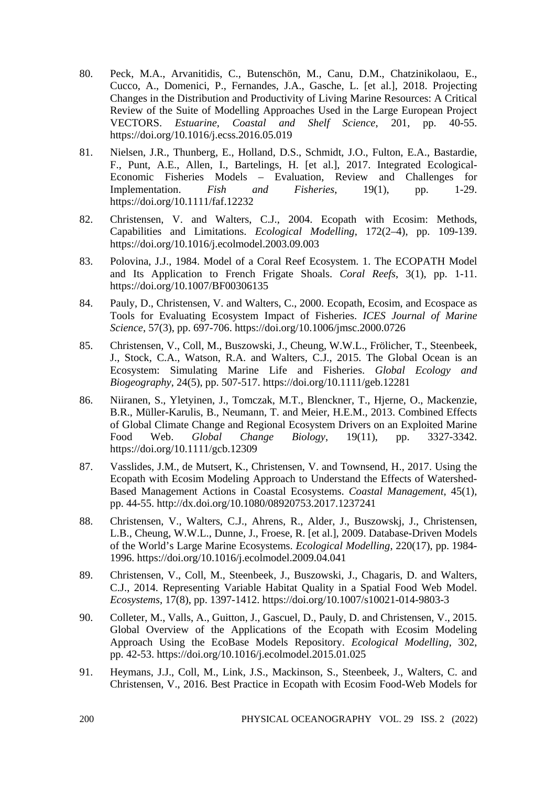- 80. Peck, M.A., Arvanitidis, C., Butenschön, M., Canu, D.M., Chatzinikolaou, E., Cucco, A., Domenici, P., Fernandes, J.A., Gasche, L. [et al.], 2018. Projecting Changes in the Distribution and Productivity of Living Marine Resources: A Critical Review of the Suite of Modelling Approaches Used in the Large European Project VECTORS. *Estuarine, Coastal and Shelf Science*, 201, pp. 40-55. <https://doi.org/10.1016/j.ecss.2016.05.019>
- 81. Nielsen, J.R., Thunberg, E., Holland, D.S., Schmidt, J.O., Fulton, E.A., Bastardie, F., Punt, A.E., Allen, I., Bartelings, H. [et al.], 2017. Integrated Ecological-Economic Fisheries Models – Evaluation, Review and Challenges for Implementation. *Fish and Fisheries*, 19(1), pp. 1-29. <https://doi.org/10.1111/faf.12232>
- 82. Christensen, V. and Walters, C.J., 2004. Ecopath with Ecosim: Methods, Capabilities and Limitations. *Ecological Modelling*, 172(2–4), pp. 109-139. https://doi.org/10.1016/j.ecolmodel.2003.09.003
- 83. Polovina, J.J., 1984. Model of a Coral Reef Ecosystem. 1. The ECOPATH Model and Its Application to French Frigate Shoals. *Coral Reefs*, 3(1), pp. 1-11. https://doi.org/10.1007/BF00306135
- 84. Pauly, D., Christensen, V. and Walters, C., 2000. Ecopath, Ecosim, and Ecospace as Tools for Evaluating Ecosystem Impact of Fisheries. *ICES Journal of Marine Science*, 57(3), pp. 697-706. https://doi.org/10.1006/jmsc.2000.0726
- 85. Christensen, V., Coll, M., Buszowski, J., Cheung, W.W.L., Frölicher, T., Steenbeek, J., Stock, C.A., Watson, R.A. and Walters, C.J., 2015. The Global Ocean is an Ecosystem: Simulating Marine Life and Fisheries. *Global Ecology and Biogeography*, 24(5), pp. 507-517[. https://doi.org/10.1111/geb.12281](https://doi.org/10.1111/geb.12281)
- 86. Niiranen, S., Yletyinen, J., Tomczak, M.T., Blenckner, T., Hjerne, O., Mackenzie, B.R., Müller-Karulis, B., Neumann, T. and Meier, H.E.M., 2013. Combined Effects of Global Climate Change and Regional Ecosystem Drivers on an Exploited Marine Food Web. *Global Change Biology*, 19(11), pp. 3327-3342. <https://doi.org/10.1111/gcb.12309>
- 87. Vasslides, J.M., de Mutsert, K., Christensen, V. and Townsend, H., 2017. Using the Ecopath with Ecosim Modeling Approach to Understand the Effects of Watershed-Based Management Actions in Coastal Ecosystems. *Coastal Management*, 45(1), pp. 44-55.<http://dx.doi.org/10.1080/08920753.2017.1237241>
- 88. Christensen, V., Walters, C.J., Ahrens, R., Alder, J., Buszowskj, J., Christensen, L.B., Cheung, W.W.L., Dunne, J., Froese, R. [et al.], 2009. Database-Driven Models of the World's Large Marine Ecosystems. *Ecological Modelling*, 220(17), pp. 1984- 1996. https://doi.org/10.1016/j.ecolmodel.2009.04.041
- 89. Christensen, V., Coll, M., Steenbeek, J., Buszowski, J., Chagaris, D. and Walters, C.J., 2014. Representing Variable Habitat Quality in a Spatial Food Web Model. *Ecosystems*, 17(8), pp. 1397-1412. https://doi.org/10.1007/s10021-014-9803-3
- 90. Colleter, M., Valls, A., Guitton, J., Gascuel, D., Pauly, D. and Christensen, V., 2015. Global Overview of the Applications of the Ecopath with Ecosim Modeling Approach Using the EcoBase Models Repository. *Ecological Modelling*, 302, pp. 42-53. https://doi.org/10.1016/j.ecolmodel.2015.01.025
- 91. Heymans, J.J., Coll, M., Link, J.S., Mackinson, S., Steenbeek, J., Walters, C. and Christensen, V., 2016. Best Practice in Ecopath with Ecosim Food-Web Models for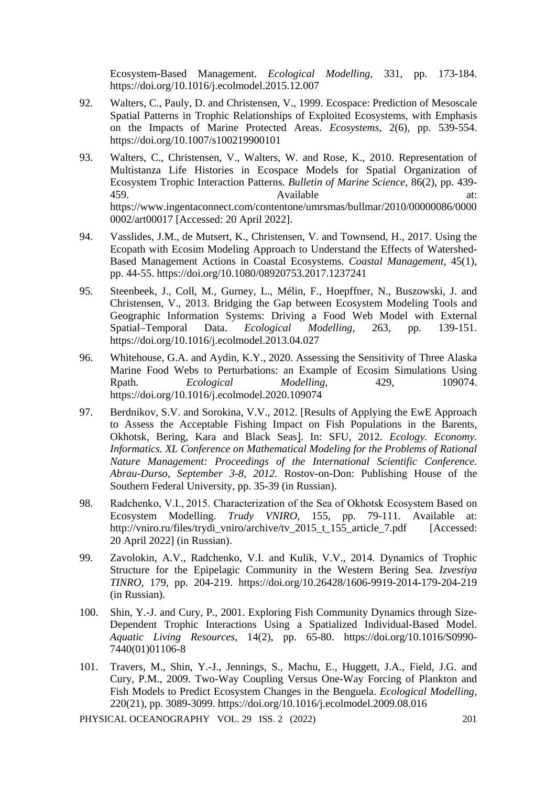Ecosystem-Based Management. *Ecological Modelling,* 331, pp. 173-184. <https://doi.org/10.1016/j.ecolmodel.2015.12.007>

- 92. Walters, C., Pauly, D. and Christensen, V., 1999. Ecospace: Prediction of Mesoscale Spatial Patterns in Trophic Relationships of Exploited Ecosystems, with Emphasis on the Impacts of Marine Protected Areas. *Ecosystems*, 2(6), pp. 539-554. https://doi.org/10.1007/s100219900101
- 93. Walters, C., Christensen, V., Walters, W. and Rose, K., 2010. Representation of Multistanza Life Histories in Ecospace Models for Spatial Organization of Ecosystem Trophic Interaction Patterns. *Bulletin of Marine Science*, 86(2), pp. 439- 459. **Available at: Available at: at:** [https://www.ingentaconnect.com/contentone/umrsmas/bullmar/2010/00000086/0000](https://www.ingentaconnect.com/contentone/umrsmas/bullmar/2010/00000086/00000002/art00017) [0002/art00017](https://www.ingentaconnect.com/contentone/umrsmas/bullmar/2010/00000086/00000002/art00017) [Accessed: 20 April 2022].
- 94. Vasslides, J.M., de Mutsert, K., Christensen, V. and Townsend, H., 2017. Using the Ecopath with Ecosim Modeling Approach to Understand the Effects of Watershed-Based Management Actions in Coastal Ecosystems. *Coastal Management*, 45(1), pp. 44-55.<https://doi.org/10.1080/08920753.2017.1237241>
- 95. Steenbeek, J., Coll, M., Gurney, L., Mélin, F., Hoepffner, N., Buszowski, J. and Christensen, V., 2013. Bridging the Gap between Ecosystem Modeling Tools and Geographic Information Systems: Driving a Food Web Model with External Spatial–Temporal Data. *Ecological Modelling*, 263, pp. 139-151. <https://doi.org/10.1016/j.ecolmodel.2013.04.027>
- 96. Whitehouse, G.A. and Aydin, K.Y., 2020. Assessing the Sensitivity of Three Alaska Marine Food Webs to Perturbations: an Example of Ecosim Simulations Using Rpath. *Ecological Modelling*, 429, 109074. <https://doi.org/10.1016/j.ecolmodel.2020.109074>
- 97. Berdnikov, S.V. and Sorokina, V.V., 2012. [Results of Applying the EwE Approach to Assess the Acceptable Fishing Impact on Fish Populations in the Barents, Okhotsk, Bering, Kara and Black Seas]. In: SFU, 2012. *Ecology. Economy. Informatics. XL Сonference on Mathematical Modeling for the Problems of Rational Nature Management: Proceedings of the International Scientific Conference. Abrau-Durso, September 3-8, 2012.* Rostov-on-Don: Publishing House of the Southern Federal University, pp. 35-39 (in Russian).
- 98. Radchenko, V.I., 2015. Characterization of the Sea of Okhotsk Ecosystem Based on Ecosystem Modelling. *Trudy VNIRO*, 155, pp. 79-111. Available at: [http://vniro.ru/files/trydi\\_vniro/archive/tv\\_2015\\_t\\_155\\_article\\_7.pdf](http://vniro.ru/files/trydi_vniro/archive/tv_2015_t_155_article_7.pdf) [Accessed: 20 April 2022] (in Russian).
- 99. Zavolokin, A.V., Radchenko, V.I. and Kulik, V.V., 2014. Dynamics of Trophic Structure for the Epipelagic Community in the Western Bering Sea. *Izvestiya TINRO*, 179, pp. 204-219. <https://doi.org/10.26428/1606-9919-2014-179-204-219> (in Russian).
- 100. Shin, Y.-J. and Cury, P., 2001. Exploring Fish Community Dynamics through Size-Dependent Trophic Interactions Using a Spatialized Individual-Based Model. *Aquatic Living Resources*, 14(2), pp. 65-80. https://doi.org/10.1016/S0990- 7440(01)01106-8
- 101. Travers, M., Shin, Y.-J., Jennings, S., Machu, E., Huggett, J.A., Field, J.G. and Cury, P.M., 2009. Two-Way Coupling Versus One-Way Forcing of Plankton and Fish Models to Predict Ecosystem Changes in the Benguela. *Ecological Modelling*, 220(21), pp. 3089-3099. https://doi.org/10.1016/j.ecolmodel.2009.08.016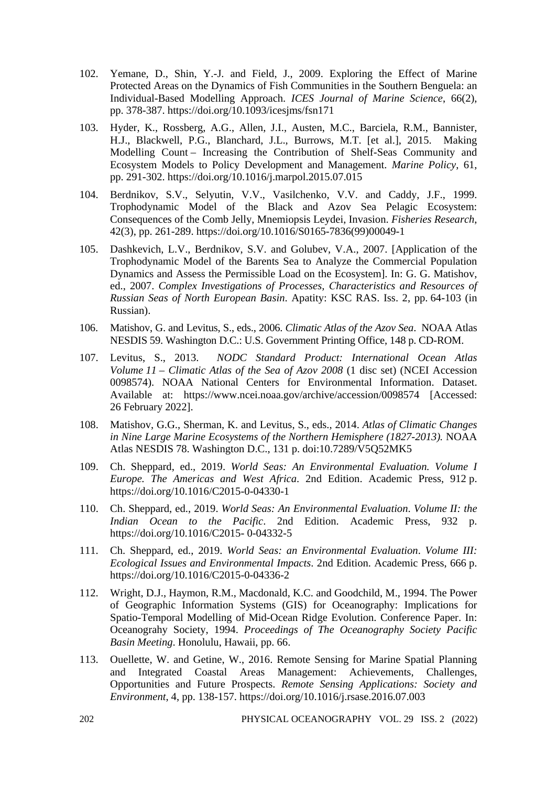- 102. Yemane, D., Shin, Y.-J. and Field, J., 2009. Exploring the Effect of Marine Protected Areas on the Dynamics of Fish Communities in the Southern Benguela: an Individual-Based Modelling Approach. *ICES Journal of Marine Science*, 66(2), pp. 378-387. https://doi.org/10.1093/icesjms/fsn171
- 103. Hyder, K., Rossberg, A.G., Allen, J.I., Austen, M.C., Barciela, R.M., Bannister, H.J., Blackwell, P.G., Blanchard, J.L., Burrows, M.T. [et al.], 2015. Making Modelling Count – Increasing the Contribution of Shelf-Seas Community and Ecosystem Models to Policy Development and Management. *Marine Policy*, 61, pp. 291-302. https://doi.org/10.1016/j.marpol.2015.07.015
- 104. Berdnikov, S.V., Selyutin, V.V., Vasilchenko, V.V. and Caddy, J.F., 1999. Trophodynamic Model of the Black and Azov Sea Pelagic Ecosystem: Consequences of the Comb Jelly, Mnemiopsis Leydei, Invasion. *Fisheries Research*, 42(3), pp. 261-289. https://doi.org/10.1016/S0165-7836(99)00049-1
- 105. Dashkevich, L.V., Berdnikov, S.V. and Golubev, V.A., 2007. [Application of the Trophodynamic Model of the Barents Sea to Analyze the Commercial Population Dynamics and Assess the Permissible Load on the Ecosystem]. In: G. G. Matishov, ed., 2007. *Complex Investigations of Processes, Сharacteristics and Resources of Russian Seas of North European Basin*. Apatity: KSC RAS. Iss. 2, pp. 64-103 (in Russian).
- 106. Matishov, G. and Levitus, S., eds., 2006. *Climatic Atlas of the Azov Sea*. NOAA Atlas NESDIS 59. Washington D.C.: U.S. Government Printing Office, 148 p. CD-ROM.
- 107. Levitus, S., 2013. *NODC Standard Product: International Ocean Atlas Volume 11 – Climatic Atlas of the Sea of Azov 2008* (1 disc set) (NCEI Accession 0098574). NOAA National Centers for Environmental Information. Dataset. Available at: https://www.ncei.noaa.gov/archive/accession/0098574 [Accessed: 26 February 2022].
- 108. Matishov, G.G., Sherman, K. and Levitus, S., eds., 2014. *Atlas of Climatic Changes in Nine Large Marine Ecosystems of the Northern Hemisphere (1827-2013).* NOAA Atlas NESDIS 78. Washington D.C., 131 p. doi:10.7289/V5Q52MK5
- 109. Ch. Sheppard, ed., 2019. *World Seas: An Environmental Evaluation. Volume I Europe. The Americas and West Africa*. 2nd Edition. Academic Press, 912 p. https://doi.org/10.1016/C2015-0-04330-1
- 110. Ch. Sheppard, ed., 2019. *World Seas: An Environmental Evaluation*. *Volume II: the Indian Ocean to the Pacific*. 2nd Edition. Academic Press, 932 p. https://doi.org/10.1016/C2015- 0-04332-5
- 111. Ch. Sheppard, ed., 2019. *World Seas: an Environmental Evaluation*. *Volume III: Ecological Issues and Environmental Impacts*. 2nd Edition. Academic Press, 666 p. https://doi.org/10.1016/C2015-0-04336-2
- 112. Wright, D.J., Haymon, R.M., Macdonald, K.C. and Goodchild, M., 1994. The Power of Geographic Information Systems (GIS) for Oceanography: Implications for Spatio-Temporal Modelling of Mid-Ocean Ridge Evolution. Conference Paper. In: Oceanograhy Society, 1994. *Proceedings of The Oceanography Society Pacific Basin Meeting*. Honolulu, Hawaii, pp. 66.
- 113. Ouellette, W. and Getine, W., 2016. Remote Sensing for Marine Spatial Planning and Integrated Coastal Areas Management: Achievements, Challenges, Opportunities and Future Prospects. *Remote Sensing Applications: Society and Environment*, 4, pp. 138-157. https://doi.org/10.1016/j.rsase.2016.07.003